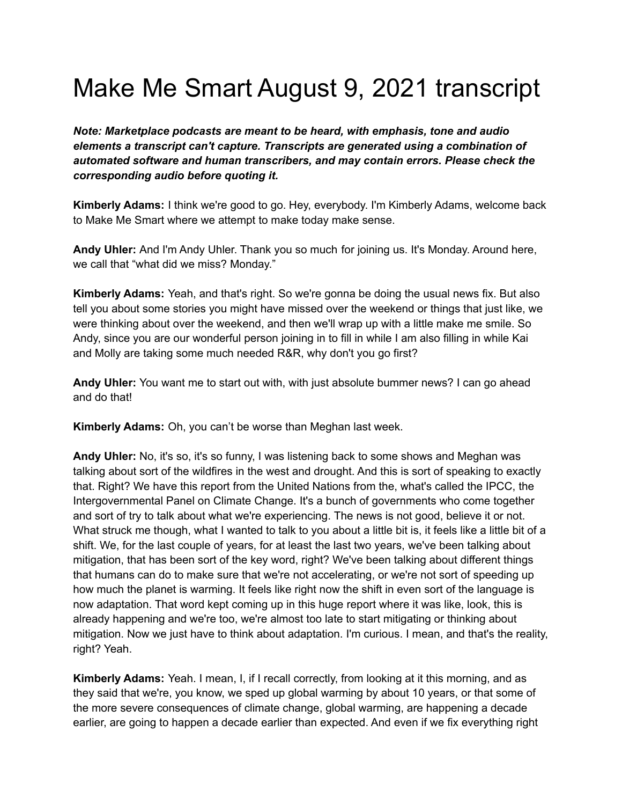## Make Me Smart August 9, 2021 transcript

*Note: Marketplace podcasts are meant to be heard, with emphasis, tone and audio elements a transcript can't capture. Transcripts are generated using a combination of automated software and human transcribers, and may contain errors. Please check the corresponding audio before quoting it.*

**Kimberly Adams:** I think we're good to go. Hey, everybody. I'm Kimberly Adams, welcome back to Make Me Smart where we attempt to make today make sense.

**Andy Uhler:** And I'm Andy Uhler. Thank you so much for joining us. It's Monday. Around here, we call that "what did we miss? Monday."

**Kimberly Adams:** Yeah, and that's right. So we're gonna be doing the usual news fix. But also tell you about some stories you might have missed over the weekend or things that just like, we were thinking about over the weekend, and then we'll wrap up with a little make me smile. So Andy, since you are our wonderful person joining in to fill in while I am also filling in while Kai and Molly are taking some much needed R&R, why don't you go first?

**Andy Uhler:** You want me to start out with, with just absolute bummer news? I can go ahead and do that!

**Kimberly Adams:** Oh, you can't be worse than Meghan last week.

**Andy Uhler:** No, it's so, it's so funny, I was listening back to some shows and Meghan was talking about sort of the wildfires in the west and drought. And this is sort of speaking to exactly that. Right? We have this report from the United Nations from the, what's called the IPCC, the Intergovernmental Panel on Climate Change. It's a bunch of governments who come together and sort of try to talk about what we're experiencing. The news is not good, believe it or not. What struck me though, what I wanted to talk to you about a little bit is, it feels like a little bit of a shift. We, for the last couple of years, for at least the last two years, we've been talking about mitigation, that has been sort of the key word, right? We've been talking about different things that humans can do to make sure that we're not accelerating, or we're not sort of speeding up how much the planet is warming. It feels like right now the shift in even sort of the language is now adaptation. That word kept coming up in this huge report where it was like, look, this is already happening and we're too, we're almost too late to start mitigating or thinking about mitigation. Now we just have to think about adaptation. I'm curious. I mean, and that's the reality, right? Yeah.

**Kimberly Adams:** Yeah. I mean, I, if I recall correctly, from looking at it this morning, and as they said that we're, you know, we sped up global warming by about 10 years, or that some of the more severe consequences of climate change, global warming, are happening a decade earlier, are going to happen a decade earlier than expected. And even if we fix everything right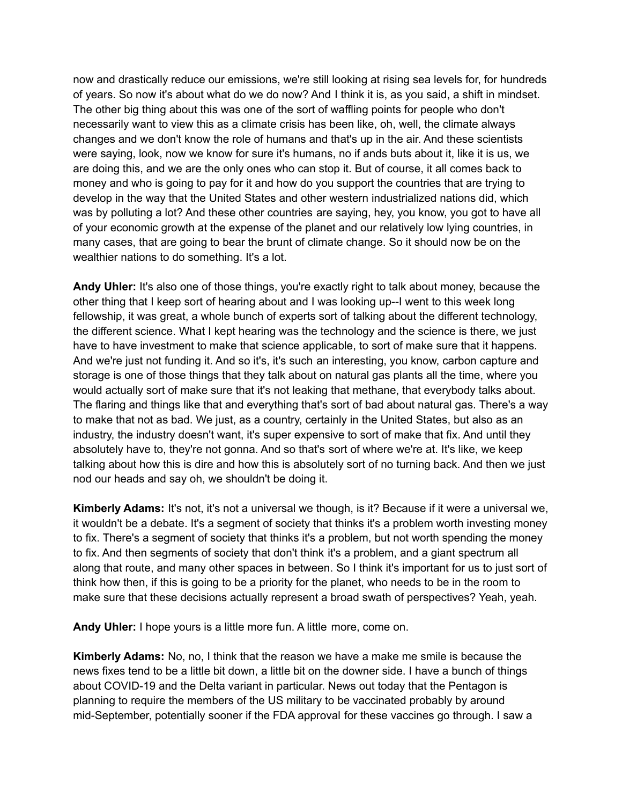now and drastically reduce our emissions, we're still looking at rising sea levels for, for hundreds of years. So now it's about what do we do now? And I think it is, as you said, a shift in mindset. The other big thing about this was one of the sort of waffling points for people who don't necessarily want to view this as a climate crisis has been like, oh, well, the climate always changes and we don't know the role of humans and that's up in the air. And these scientists were saying, look, now we know for sure it's humans, no if ands buts about it, like it is us, we are doing this, and we are the only ones who can stop it. But of course, it all comes back to money and who is going to pay for it and how do you support the countries that are trying to develop in the way that the United States and other western industrialized nations did, which was by polluting a lot? And these other countries are saying, hey, you know, you got to have all of your economic growth at the expense of the planet and our relatively low lying countries, in many cases, that are going to bear the brunt of climate change. So it should now be on the wealthier nations to do something. It's a lot.

**Andy Uhler:** It's also one of those things, you're exactly right to talk about money, because the other thing that I keep sort of hearing about and I was looking up--I went to this week long fellowship, it was great, a whole bunch of experts sort of talking about the different technology, the different science. What I kept hearing was the technology and the science is there, we just have to have investment to make that science applicable, to sort of make sure that it happens. And we're just not funding it. And so it's, it's such an interesting, you know, carbon capture and storage is one of those things that they talk about on natural gas plants all the time, where you would actually sort of make sure that it's not leaking that methane, that everybody talks about. The flaring and things like that and everything that's sort of bad about natural gas. There's a way to make that not as bad. We just, as a country, certainly in the United States, but also as an industry, the industry doesn't want, it's super expensive to sort of make that fix. And until they absolutely have to, they're not gonna. And so that's sort of where we're at. It's like, we keep talking about how this is dire and how this is absolutely sort of no turning back. And then we just nod our heads and say oh, we shouldn't be doing it.

**Kimberly Adams:** It's not, it's not a universal we though, is it? Because if it were a universal we, it wouldn't be a debate. It's a segment of society that thinks it's a problem worth investing money to fix. There's a segment of society that thinks it's a problem, but not worth spending the money to fix. And then segments of society that don't think it's a problem, and a giant spectrum all along that route, and many other spaces in between. So I think it's important for us to just sort of think how then, if this is going to be a priority for the planet, who needs to be in the room to make sure that these decisions actually represent a broad swath of perspectives? Yeah, yeah.

**Andy Uhler:** I hope yours is a little more fun. A little more, come on.

**Kimberly Adams:** No, no, I think that the reason we have a make me smile is because the news fixes tend to be a little bit down, a little bit on the downer side. I have a bunch of things about COVID-19 and the Delta variant in particular. News out today that the Pentagon is planning to require the members of the US military to be vaccinated probably by around mid-September, potentially sooner if the FDA approval for these vaccines go through. I saw a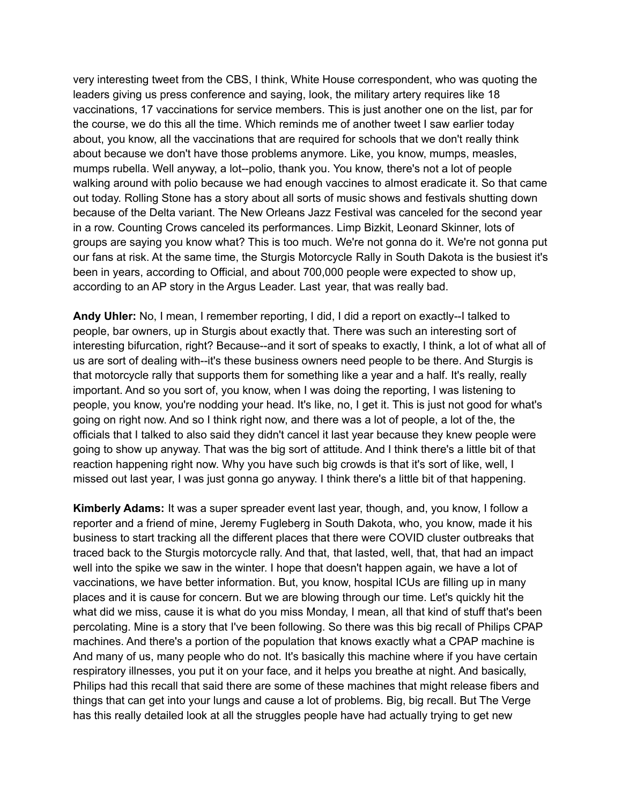very interesting tweet from the CBS, I think, White House correspondent, who was quoting the leaders giving us press conference and saying, look, the military artery requires like 18 vaccinations, 17 vaccinations for service members. This is just another one on the list, par for the course, we do this all the time. Which reminds me of another tweet I saw earlier today about, you know, all the vaccinations that are required for schools that we don't really think about because we don't have those problems anymore. Like, you know, mumps, measles, mumps rubella. Well anyway, a lot--polio, thank you. You know, there's not a lot of people walking around with polio because we had enough vaccines to almost eradicate it. So that came out today. Rolling Stone has a story about all sorts of music shows and festivals shutting down because of the Delta variant. The New Orleans Jazz Festival was canceled for the second year in a row. Counting Crows canceled its performances. Limp Bizkit, Leonard Skinner, lots of groups are saying you know what? This is too much. We're not gonna do it. We're not gonna put our fans at risk. At the same time, the Sturgis Motorcycle Rally in South Dakota is the busiest it's been in years, according to Official, and about 700,000 people were expected to show up, according to an AP story in the Argus Leader. Last year, that was really bad.

**Andy Uhler:** No, I mean, I remember reporting, I did, I did a report on exactly--I talked to people, bar owners, up in Sturgis about exactly that. There was such an interesting sort of interesting bifurcation, right? Because--and it sort of speaks to exactly, I think, a lot of what all of us are sort of dealing with--it's these business owners need people to be there. And Sturgis is that motorcycle rally that supports them for something like a year and a half. It's really, really important. And so you sort of, you know, when I was doing the reporting, I was listening to people, you know, you're nodding your head. It's like, no, I get it. This is just not good for what's going on right now. And so I think right now, and there was a lot of people, a lot of the, the officials that I talked to also said they didn't cancel it last year because they knew people were going to show up anyway. That was the big sort of attitude. And I think there's a little bit of that reaction happening right now. Why you have such big crowds is that it's sort of like, well, I missed out last year, I was just gonna go anyway. I think there's a little bit of that happening.

**Kimberly Adams:** It was a super spreader event last year, though, and, you know, I follow a reporter and a friend of mine, Jeremy Fugleberg in South Dakota, who, you know, made it his business to start tracking all the different places that there were COVID cluster outbreaks that traced back to the Sturgis motorcycle rally. And that, that lasted, well, that, that had an impact well into the spike we saw in the winter. I hope that doesn't happen again, we have a lot of vaccinations, we have better information. But, you know, hospital ICUs are filling up in many places and it is cause for concern. But we are blowing through our time. Let's quickly hit the what did we miss, cause it is what do you miss Monday, I mean, all that kind of stuff that's been percolating. Mine is a story that I've been following. So there was this big recall of Philips CPAP machines. And there's a portion of the population that knows exactly what a CPAP machine is And many of us, many people who do not. It's basically this machine where if you have certain respiratory illnesses, you put it on your face, and it helps you breathe at night. And basically, Philips had this recall that said there are some of these machines that might release fibers and things that can get into your lungs and cause a lot of problems. Big, big recall. But The Verge has this really detailed look at all the struggles people have had actually trying to get new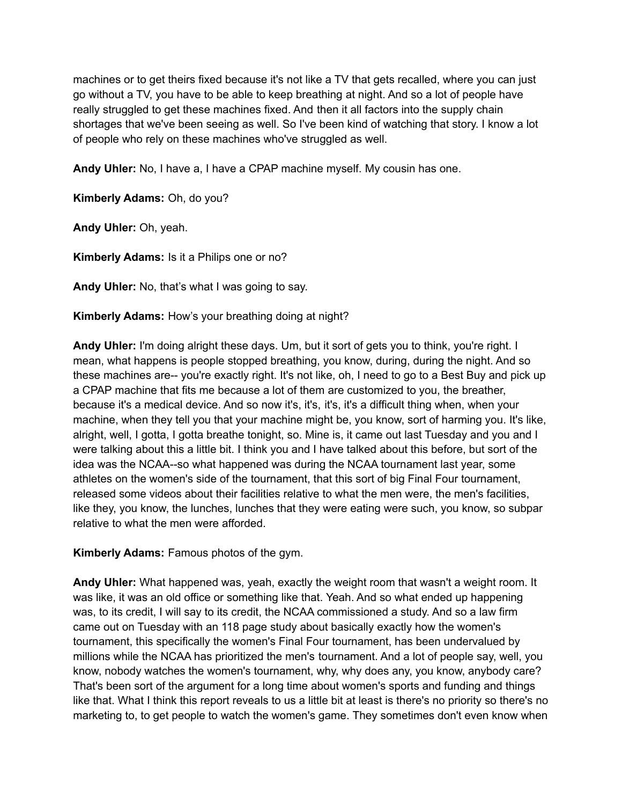machines or to get theirs fixed because it's not like a TV that gets recalled, where you can just go without a TV, you have to be able to keep breathing at night. And so a lot of people have really struggled to get these machines fixed. And then it all factors into the supply chain shortages that we've been seeing as well. So I've been kind of watching that story. I know a lot of people who rely on these machines who've struggled as well.

**Andy Uhler:** No, I have a, I have a CPAP machine myself. My cousin has one.

**Kimberly Adams:** Oh, do you?

**Andy Uhler:** Oh, yeah.

**Kimberly Adams:** Is it a Philips one or no?

**Andy Uhler:** No, that's what I was going to say.

**Kimberly Adams:** How's your breathing doing at night?

**Andy Uhler:** I'm doing alright these days. Um, but it sort of gets you to think, you're right. I mean, what happens is people stopped breathing, you know, during, during the night. And so these machines are-- you're exactly right. It's not like, oh, I need to go to a Best Buy and pick up a CPAP machine that fits me because a lot of them are customized to you, the breather, because it's a medical device. And so now it's, it's, it's, it's a difficult thing when, when your machine, when they tell you that your machine might be, you know, sort of harming you. It's like, alright, well, I gotta, I gotta breathe tonight, so. Mine is, it came out last Tuesday and you and I were talking about this a little bit. I think you and I have talked about this before, but sort of the idea was the NCAA--so what happened was during the NCAA tournament last year, some athletes on the women's side of the tournament, that this sort of big Final Four tournament, released some videos about their facilities relative to what the men were, the men's facilities, like they, you know, the lunches, lunches that they were eating were such, you know, so subpar relative to what the men were afforded.

**Kimberly Adams:** Famous photos of the gym.

**Andy Uhler:** What happened was, yeah, exactly the weight room that wasn't a weight room. It was like, it was an old office or something like that. Yeah. And so what ended up happening was, to its credit, I will say to its credit, the NCAA commissioned a study. And so a law firm came out on Tuesday with an 118 page study about basically exactly how the women's tournament, this specifically the women's Final Four tournament, has been undervalued by millions while the NCAA has prioritized the men's tournament. And a lot of people say, well, you know, nobody watches the women's tournament, why, why does any, you know, anybody care? That's been sort of the argument for a long time about women's sports and funding and things like that. What I think this report reveals to us a little bit at least is there's no priority so there's no marketing to, to get people to watch the women's game. They sometimes don't even know when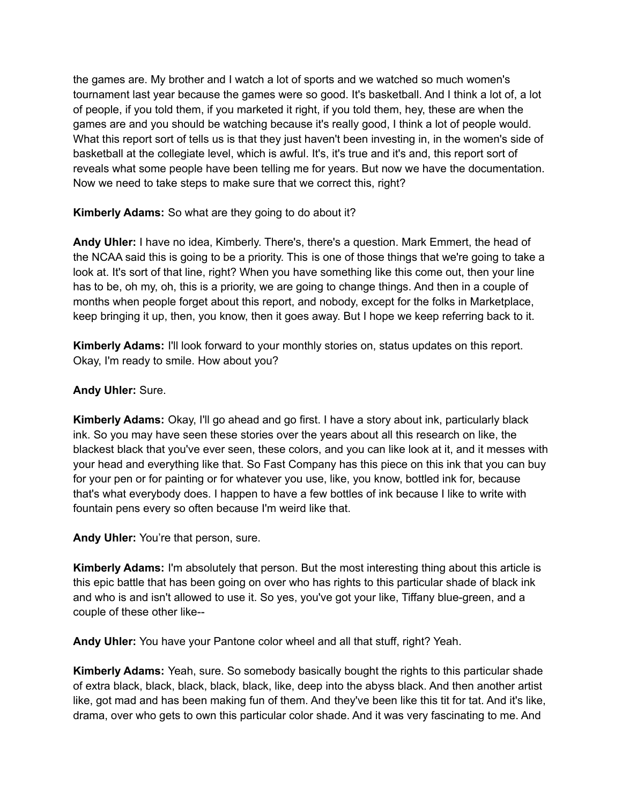the games are. My brother and I watch a lot of sports and we watched so much women's tournament last year because the games were so good. It's basketball. And I think a lot of, a lot of people, if you told them, if you marketed it right, if you told them, hey, these are when the games are and you should be watching because it's really good, I think a lot of people would. What this report sort of tells us is that they just haven't been investing in, in the women's side of basketball at the collegiate level, which is awful. It's, it's true and it's and, this report sort of reveals what some people have been telling me for years. But now we have the documentation. Now we need to take steps to make sure that we correct this, right?

**Kimberly Adams:** So what are they going to do about it?

**Andy Uhler:** I have no idea, Kimberly. There's, there's a question. Mark Emmert, the head of the NCAA said this is going to be a priority. This is one of those things that we're going to take a look at. It's sort of that line, right? When you have something like this come out, then your line has to be, oh my, oh, this is a priority, we are going to change things. And then in a couple of months when people forget about this report, and nobody, except for the folks in Marketplace, keep bringing it up, then, you know, then it goes away. But I hope we keep referring back to it.

**Kimberly Adams:** I'll look forward to your monthly stories on, status updates on this report. Okay, I'm ready to smile. How about you?

## **Andy Uhler:** Sure.

**Kimberly Adams:** Okay, I'll go ahead and go first. I have a story about ink, particularly black ink. So you may have seen these stories over the years about all this research on like, the blackest black that you've ever seen, these colors, and you can like look at it, and it messes with your head and everything like that. So Fast Company has this piece on this ink that you can buy for your pen or for painting or for whatever you use, like, you know, bottled ink for, because that's what everybody does. I happen to have a few bottles of ink because I like to write with fountain pens every so often because I'm weird like that.

**Andy Uhler:** You're that person, sure.

**Kimberly Adams:** I'm absolutely that person. But the most interesting thing about this article is this epic battle that has been going on over who has rights to this particular shade of black ink and who is and isn't allowed to use it. So yes, you've got your like, Tiffany blue-green, and a couple of these other like--

**Andy Uhler:** You have your Pantone color wheel and all that stuff, right? Yeah.

**Kimberly Adams:** Yeah, sure. So somebody basically bought the rights to this particular shade of extra black, black, black, black, black, like, deep into the abyss black. And then another artist like, got mad and has been making fun of them. And they've been like this tit for tat. And it's like, drama, over who gets to own this particular color shade. And it was very fascinating to me. And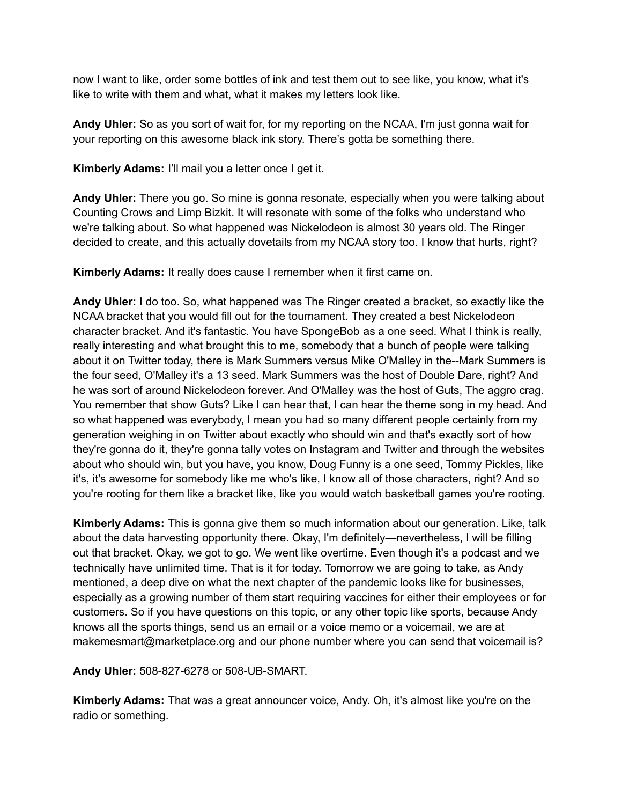now I want to like, order some bottles of ink and test them out to see like, you know, what it's like to write with them and what, what it makes my letters look like.

**Andy Uhler:** So as you sort of wait for, for my reporting on the NCAA, I'm just gonna wait for your reporting on this awesome black ink story. There's gotta be something there.

**Kimberly Adams:** I'll mail you a letter once I get it.

**Andy Uhler:** There you go. So mine is gonna resonate, especially when you were talking about Counting Crows and Limp Bizkit. It will resonate with some of the folks who understand who we're talking about. So what happened was Nickelodeon is almost 30 years old. The Ringer decided to create, and this actually dovetails from my NCAA story too. I know that hurts, right?

**Kimberly Adams:** It really does cause I remember when it first came on.

**Andy Uhler:** I do too. So, what happened was The Ringer created a bracket, so exactly like the NCAA bracket that you would fill out for the tournament. They created a best Nickelodeon character bracket. And it's fantastic. You have SpongeBob as a one seed. What I think is really, really interesting and what brought this to me, somebody that a bunch of people were talking about it on Twitter today, there is Mark Summers versus Mike O'Malley in the--Mark Summers is the four seed, O'Malley it's a 13 seed. Mark Summers was the host of Double Dare, right? And he was sort of around Nickelodeon forever. And O'Malley was the host of Guts, The aggro crag. You remember that show Guts? Like I can hear that, I can hear the theme song in my head. And so what happened was everybody, I mean you had so many different people certainly from my generation weighing in on Twitter about exactly who should win and that's exactly sort of how they're gonna do it, they're gonna tally votes on Instagram and Twitter and through the websites about who should win, but you have, you know, Doug Funny is a one seed, Tommy Pickles, like it's, it's awesome for somebody like me who's like, I know all of those characters, right? And so you're rooting for them like a bracket like, like you would watch basketball games you're rooting.

**Kimberly Adams:** This is gonna give them so much information about our generation. Like, talk about the data harvesting opportunity there. Okay, I'm definitely—nevertheless, I will be filling out that bracket. Okay, we got to go. We went like overtime. Even though it's a podcast and we technically have unlimited time. That is it for today. Tomorrow we are going to take, as Andy mentioned, a deep dive on what the next chapter of the pandemic looks like for businesses, especially as a growing number of them start requiring vaccines for either their employees or for customers. So if you have questions on this topic, or any other topic like sports, because Andy knows all the sports things, send us an email or a voice memo or a voicemail, we are at makemesmart@marketplace.org and our phone number where you can send that voicemail is?

**Andy Uhler:** 508-827-6278 or 508-UB-SMART.

**Kimberly Adams:** That was a great announcer voice, Andy. Oh, it's almost like you're on the radio or something.